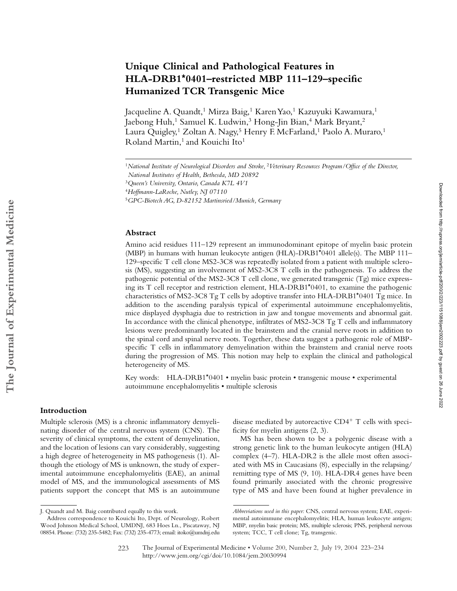# **Unique Clinical and Pathological Features in HLA-DRB1\*0401–restricted MBP 111–129–specific Humanized TCR Transgenic Mice**

Jacqueline A. Quandt,<sup>1</sup> Mirza Baig,<sup>1</sup> Karen Yao,<sup>1</sup> Kazuyuki Kawamura,<sup>1</sup> Jaebong Huh,<sup>1</sup> Samuel K. Ludwin,<sup>3</sup> Hong-Jin Bian,<sup>4</sup> Mark Bryant,<sup>2</sup> Laura Quigley,<sup>1</sup> Zoltan A. Nagy,<sup>5</sup> Henry F. McFarland,<sup>1</sup> Paolo A. Muraro,<sup>1</sup> Roland Martin,<sup>1</sup> and Kouichi Ito<sup>1</sup>

#### **Abstract**

Amino acid residues 111–129 represent an immunodominant epitope of myelin basic protein (MBP) in humans with human leukocyte antigen (HLA)-DRB1\*0401 allele(s). The MBP 111– 129–specific T cell clone MS2-3C8 was repeatedly isolated from a patient with multiple sclerosis (MS), suggesting an involvement of MS2-3C8 T cells in the pathogenesis. To address the pathogenic potential of the MS2-3C8 T cell clone, we generated transgenic (Tg) mice expressing its T cell receptor and restriction element, HLA-DRB1\*0401, to examine the pathogenic characteristics of MS2-3C8 Tg T cells by adoptive transfer into HLA-DRB1\*0401 Tg mice. In addition to the ascending paralysis typical of experimental autoimmune encephalomyelitis, mice displayed dysphagia due to restriction in jaw and tongue movements and abnormal gait. In accordance with the clinical phenotype, infiltrates of MS2-3C8 Tg T cells and inflammatory lesions were predominantly located in the brainstem and the cranial nerve roots in addition to the spinal cord and spinal nerve roots. Together, these data suggest a pathogenic role of MBPspecific T cells in inflammatory demyelination within the brainstem and cranial nerve roots during the progression of MS. This notion may help to explain the clinical and pathological heterogeneity of MS.

Key words: HLA-DRB1\*0401 • myelin basic protein • transgenic mouse • experimental autoimmune encephalomyelitis • multiple sclerosis

# **Introduction**

Multiple sclerosis (MS) is a chronic inflammatory demyelinating disorder of the central nervous system (CNS). The severity of clinical symptoms, the extent of demyelination, and the location of lesions can vary considerably, suggesting a high degree of heterogeneity in MS pathogenesis (1). Although the etiology of MS is unknown, the study of experimental autoimmune encephalomyelitis (EAE), an animal model of MS, and the immunological assessments of MS patients support the concept that MS is an autoimmune

disease mediated by autoreactive CD4<sup>+</sup> T cells with specificity for myelin antigens (2, 3).

MS has been shown to be a polygenic disease with a strong genetic link to the human leukocyte antigen (HLA) complex (4–7). HLA-DR2 is the allele most often associated with MS in Caucasians (8), especially in the relapsing/ remitting type of MS (9, 10). HLA-DR4 genes have been found primarily associated with the chronic progressive type of MS and have been found at higher prevalence in

<sup>&</sup>lt;sup>1</sup>National Institute of Neurological Disorders and Stroke, <sup>2</sup>*Veterinary Resources Program*/Office of the Director,

*National Institutes of Health, Bethesda, MD 20892* <sup>3</sup>*Queen's University, Ontario, Canada K7L 4V1*

<sup>4</sup>*Hoffmann-LaRoche, Nutley, NJ 07110*

<sup>5</sup>*GPC-Biotech AG, D-82152 Martinsried/Munich, Germany*

J. Quandt and M. Baig contributed equally to this work.

Address correspondence to Kouichi Ito, Dept. of Neurology, Robert Wood Johnson Medical School, UMDNJ, 683 Hoes Ln., Piscataway, NJ 08854. Phone: (732) 235-5482; Fax: (732) 235-4773; email: itoko@umdnj.edu

*Abbreviations used in this paper:* CNS, central nervous system; EAE, experimental autoimmune encephalomyelitis; HLA, human leukocyte antigen; MBP, myelin basic protein; MS, multiple sclerosis; PNS, peripheral nervous system; TCC, T cell clone; Tg, transgenic.

The Journal of Experimental Medicine • Volume 200, Number 2, July 19, 2004 223–234 http://www.jem.org/cgi/doi/10.1084/jem.20030994 223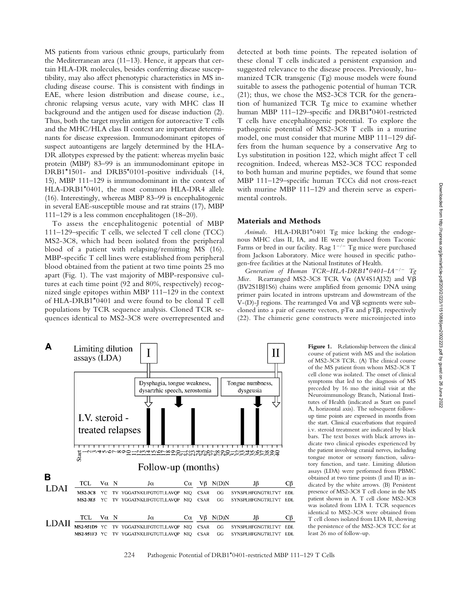MS patients from various ethnic groups, particularly from the Mediterranean area (11–13). Hence, it appears that certain HLA-DR molecules, besides conferring disease susceptibility, may also affect phenotypic characteristics in MS including disease course. This is consistent with findings in EAE, where lesion distribution and disease course, i.e., chronic relapsing versus acute, vary with MHC class II background and the antigen used for disease induction (2). Thus, both the target myelin antigen for autoreactive T cells and the MHC/HLA class II context are important determinants for disease expression. Immunodominant epitopes of suspect autoantigens are largely determined by the HLA-DR allotypes expressed by the patient: whereas myelin basic protein (MBP) 83–99 is an immunodominant epitope in DRB1\*1501- and DRB5\*0101-positive individuals (14, 15), MBP 111–129 is immunodominant in the context of HLA-DRB1\*0401, the most common HLA-DR4 allele (16). Interestingly, whereas MBP 83–99 is encephalitogenic in several EAE-susceptible mouse and rat strains (17), MBP 111–129 is a less common encephalitogen (18–20).

To assess the encephalitogenic potential of MBP 111–129–specific T cells, we selected T cell clone (TCC) MS2-3C8, which had been isolated from the peripheral blood of a patient with relapsing/remitting MS (16). MBP-specific T cell lines were established from peripheral blood obtained from the patient at two time points 25 mo apart (Fig. 1). The vast majority of MBP-responsive cultures at each time point (92 and 80%, respectively) recognized single epitopes within MBP 111–129 in the context of HLA-DRB1\*0401 and were found to be clonal T cell populations by TCR sequence analysis. Cloned TCR sequences identical to MS2-3C8 were overrepresented and

detected at both time points. The repeated isolation of these clonal T cells indicated a persistent expansion and suggested relevance to the disease process. Previously, humanized TCR transgenic (Tg) mouse models were found suitable to assess the pathogenic potential of human TCR (21); thus, we chose the MS2-3C8 TCR for the generation of humanized TCR Tg mice to examine whether human MBP 111–129–specific and DRB1\*0401-restricted T cells have encephalitogenic potential. To explore the pathogenic potential of MS2-3C8 T cells in a murine model, one must consider that murine MBP 111–129 differs from the human sequence by a conservative Arg to Lys substitution in position 122, which might affect T cell recognition. Indeed, whereas MS2-3C8 TCC responded to both human and murine peptides, we found that some MBP 111–129–specific human TCCs did not cross-react with murine MBP 111–129 and therein serve as experimental controls.

## **Materials and Methods**

*Animals.* HLA-DRB1\*0401 Tg mice lacking the endogenous MHC class II, IA, and IE were purchased from Taconic Farms or bred in our facility. Rag  $1^{-/-}$  Tg mice were purchased from Jackson Laboratory. Mice were housed in specific pathogen-free facilities at the National Institutes of Health.

*Generation of Human TCR–HLA-DRB1*\**0401–IA/ Tg Mice.* Rearranged MS2-3C8 TCR V $\alpha$  (AV4S1AJ32) and V $\beta$ (BV2S1BJ1S6) chains were amplified from genomic DNA using primer pairs located in introns upstream and downstream of the V-(D)-J regions. The rearranged  $V\alpha$  and  $V\beta$  segments were subcloned into a pair of cassette vectors,  $pT\alpha$  and  $pT\beta$ , respectively (22). The chimeric gene constructs were microinjected into



Figure 1. Relationship between the clinical course of patient with MS and the isolation of MS2-3C8 TCR. (A) The clinical course of the MS patient from whom MS2-3C8 T cell clone was isolated. The onset of clinical symptoms that led to the diagnosis of MS preceded by 16 mo the initial visit at the Neuroimmunology Branch, National Institutes of Health (indicated as Start on panel A, horizontal axis). The subsequent followup time points are expressed in months from the start. Clinical exacerbations that required i.v. steroid treatment are indicated by black bars. The text boxes with black arrows indicate two clinical episodes experienced by the patient involving cranial nerves, including tongue motor or sensory function, salivatory function, and taste. Limiting dilution assays (LDA) were performed from PBMC obtained at two time points (I and II) as indicated by the white arrows. (B) Persistent presence of MS2-3C8 T cell clone in the MS patient shown in A. T cell clone MS2-3C8 was isolated from LDA I. TCR sequences identical to MS2-3C8 were obtained from T cell clones isolated from LDA II, showing the persistence of the MS2-3C8 TCC for at least 26 mo of follow-up.

#### 224 Pathogenic Potential of DRB1\*0401-restricted MBP 111–129 T Cells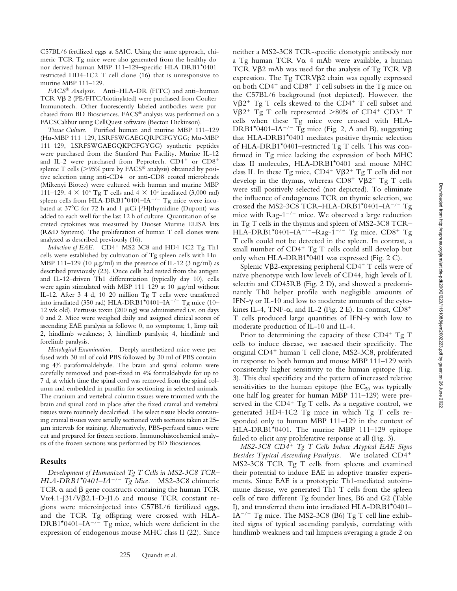C57BL/6 fertilized eggs at SAIC. Using the same approach, chimeric TCR Tg mice were also generated from the healthy donor-derived human MBP 111–129–specific HLA-DRB1\*0401 restricted HD4-1C2 T cell clone (16) that is unresponsive to murine MBP 111–129.

*FACS® Analysis.* Anti–HLA-DR (FITC) and anti–human TCR V $\beta$  2 (PE/FITC/biotinylated) were purchased from Coulter-Immunotech. Other fluorescently labeled antibodies were purchased from BD Biosciences. FACS® analysis was performed on a FACSCalibur using CellQuest software (Becton Dickinson).

*Tissue Culture.* Purified human and murine MBP 111–129 (Hu-MBP 111–129, LSRFSWGAEGQRPGFGYGG; Mu-MBP 111–129, LSRFSWGAEGQKPGFGYGG) synthetic peptides were purchased from the Stanford Pan Facility. Murine IL-12 and IL-2 were purchased from Peprotech. CD4<sup>+</sup> or CD8<sup>+</sup> splenic T cells ( $>95\%$  pure by FACS<sup>®</sup> analysis) obtained by positive selection using anti-CD4– or anti-CD8–coated microbeads (Miltenyi Biotec) were cultured with human and murine MBP 111–129. 4  $\times$  10<sup>4</sup> Tg T cells and 4  $\times$  10<sup>5</sup> irradiated (3,000 rad) spleen cells from HLA-DRB1\*0401–IA<sup>-/-</sup> Tg mice were incubated at  $37^{\circ}$ C for 72 h and 1  $\mu$ Ci [<sup>3</sup>H]thymidine (Dupont) was added to each well for the last 12 h of culture. Quantitation of secreted cytokines was measured by Duoset Murine ELISA kits (R&D Systems). The proliferation of human T cell clones were analyzed as described previously (16).

Induction of EAE. CD4<sup>+</sup> MS2-3C8 and HD4-1C2 Tg Th1 cells were established by cultivation of Tg spleen cells with Hu-MBP 111–129 (10  $\mu$ g/ml) in the presence of IL-12 (3 ng/ml) as described previously (23). Once cells had rested from the antigen and IL-12–driven Th1 differentiation (typically day 10), cells were again stimulated with MBP 111-129 at 10  $\mu$ g/ml without IL-12. After 3–4 d, 10–20 million Tg T cells were transferred into irradiated (350 rad) HLA-DRB1\*0401-IA<sup>-/-</sup> Tg mice (10– 12 wk old). Pertussis toxin (200 ng) was administered i.v. on days 0 and 2. Mice were weighed daily and assigned clinical scores of ascending EAE paralysis as follows: 0, no symptoms; 1, limp tail; 2, hindlimb weakness; 3, hindlimb paralysis; 4, hindlimb and forelimb paralysis.

*Histological Examination.* Deeply anesthetized mice were perfused with 30 ml of cold PBS followed by 30 ml of PBS containing 4% paraformaldehyde. The brain and spinal column were carefully removed and post-fixed in 4% formaldehyde for up to 7 d, at which time the spinal cord was removed from the spinal column and embedded in paraffin for sectioning in selected animals. The cranium and vertebral column tissues were trimmed with the brain and spinal cord in place after the fixed cranial and vertebral tissues were routinely decalcified. The select tissue blocks containing cranial tissues were serially sectioned with sections taken at 25 m intervals for staining. Alternatively, PBS-perfused tissues were cut and prepared for frozen sections. Immunohistochemical analysis of the frozen sections was performed by BD Biosciences.

# **Results**

*Development of Humanized Tg T Cells in MS2-3C8 TCR– HLA-DRB1\*0401–IA/ Tg Mice.* MS2-3C8 chimeric TCR  $\alpha$  and  $\beta$  gene constructs containing the human TCR V $\alpha$ 4.1-J31/V $\beta$ 2.1-D-J1.6 and mouse TCR constant regions were microinjected into C57BL/6 fertilized eggs, and the TCR Tg offspring were crossed with HLA- $DRB1*0401–IA^{-/-}$  Tg mice, which were deficient in the expression of endogenous mouse MHC class II (22). Since neither a MS2-3C8 TCR-specific clonotypic antibody nor a Tg human TCR V $\alpha$  4 mAb were available, a human TCR V $\beta$ 2 mAb was used for the analysis of Tg TCR V $\beta$ expression. The Tg TCRV $\beta$ 2 chain was equally expressed on both CD4<sup>+</sup> and CD8<sup>+</sup> T cell subsets in the Tg mice on the C57BL/6 background (not depicted). However, the V $\beta$ 2<sup>+</sup> Tg T cells skewed to the CD4<sup>+</sup> T cell subset and V $\beta$ 2<sup>+</sup> Tg T cells represented >80% of CD4<sup>+</sup> CD3<sup>+</sup> T cells when these Tg mice were crossed with HLA-DRB1\*0401–IA<sup>-/-</sup> Tg mice (Fig. 2, A and B), suggesting that HLA-DRB1\*0401 mediates positive thymic selection of HLA-DRB1\*0401–restricted Tg T cells. This was confirmed in Tg mice lacking the expression of both MHC class II molecules, HLA-DRB1\*0401 and mouse MHC class II. In these Tg mice,  $CD4^+ V\beta2^+ Tg T$  cells did not develop in the thymus, whereas  $CD8^+$  V $\beta2^+$  Tg T cells were still positively selected (not depicted). To eliminate the influence of endogenous TCR on thymic selection, we crossed the MS2-3C8 TCR–HLA-DRB1\*0401–IA<sup>-/-</sup> Tg mice with  $\text{Rag-1}^{-/-}$  mice. We observed a large reduction in Tg T cells in the thymus and spleen of MS2-3C8 TCR–  $HLA-DRB1*0401-IA^{-/-}-Rag-1^{-/-}$  Tg mice.  $CD8+$  Tg T cells could not be detected in the spleen. In contrast, a small number of CD4<sup>+</sup> Tg T cells could still develop but only when HLA-DRB1\*0401 was expressed (Fig. 2 C).

Splenic Vß2-expressing peripheral CD4<sup>+</sup> T cells were of naïve phenotype with low levels of CD44, high levels of L selectin and CD45RB (Fig. 2 D), and showed a predominantly Th0 helper profile with negligible amounts of IFN- $\gamma$  or IL-10 and low to moderate amounts of the cytokines IL-4, TNF- $\alpha$ , and IL-2 (Fig. 2 E). In contrast,  $CD8^+$ T cells produced large quantities of IFN- $\gamma$  with low to moderate production of IL-10 and IL-4.

Prior to determining the capacity of these CD4<sup>+</sup> Tg T cells to induce disease, we assessed their specificity. The original CD4<sup>+</sup> human T cell clone, MS2-3C8, proliferated in response to both human and mouse MBP 111–129 with consistently higher sensitivity to the human epitope (Fig. 3). This dual specificity and the pattern of increased relative sensitivities to the human epitope (the  $EC_{50}$  was typically one half log greater for human MBP 111–129) were preserved in the CD4<sup>+</sup> Tg T cells. As a negative control, we generated HD4-1C2 Tg mice in which Tg T cells responded only to human MBP 111–129 in the context of HLA-DRB1\*0401. The murine MBP 111–129 epitope failed to elicit any proliferative response at all (Fig. 3).

*MS2-3C8 CD4*- *Tg T Cells Induce Atypical EAE Signs Besides Typical Ascending Paralysis.* We isolated CD4- MS2-3C8 TCR Tg T cells from spleens and examined their potential to induce EAE in adoptive transfer experiments. Since EAE is a prototypic Th1-mediated autoimmune disease, we generated Th1 T cells from the spleen cells of two different Tg founder lines, B6 and G2 (Table I), and transferred them into irradiated HLA-DRB1\*0401–  $IA^{-/-}$  Tg mice. The MS2-3C8 (B6) Tg T cell line exhibited signs of typical ascending paralysis, correlating with hindlimb weakness and tail limpness averaging a grade 2 on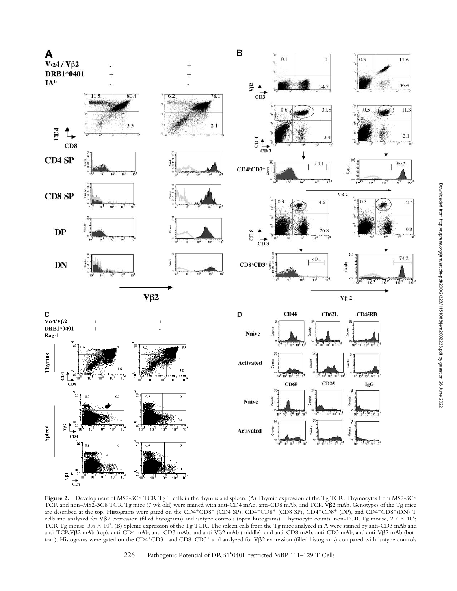

**Figure 2.** Development of MS2-3C8 TCR Tg T cells in the thymus and spleen. (A) Thymic expression of the Tg TCR. Thymocytes from MS2-3C8 TCR and non-MS2-3C8 TCR Tg mice (7 wk old) were stained with anti-CD4 mAb, anti-CD8 mAb, and TCR VB2 mAb. Genotypes of the Tg mice are described at the top. Histograms were gated on the CD4+CD8- (CD4 SP), CD4-CD8+ (CD8 SP), CD4+CD8+ (DP), and CD4-CD8-(DN) T cells and analyzed for V $\beta$ 2 expression (filled histograms) and isotype controls (open histograms). Thymocyte counts: non-TCR Tg mouse,  $2.7 \times 10^8$ ; TCR Tg mouse, 3.6  $\times$  10<sup>7</sup>. (B) Splenic expression of the Tg TCR. The spleen cells from the Tg mice analyzed in A were stained by anti-CD3 mAb and anti-TCRVβ2 mAb (top), anti-CD4 mAb, anti-CD3 mAb, and anti-Vβ2 mAb (middle), and anti-CD8 mAb, anti-CD3 mAb, and anti-Vβ2 mAb (bottom). Histograms were gated on the CD4+CD3+ and CD8+CD3+ and analyzed for Vβ2 expression (filled histograms) compared with isotype controls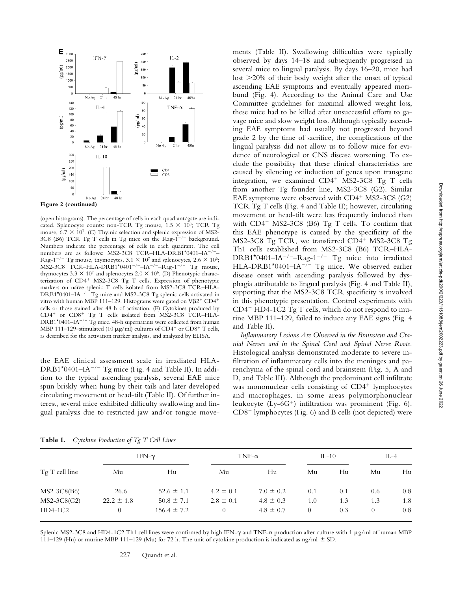

#### **Figure 2 (continued)**

(open histograms). The percentage of cells in each quadrant/gate are indicated. Splenocyte counts: non-TCR Tg mouse,  $1.5 \times 10^8$ ; TCR Tg mouse,  $6.7 \times 10^7$ . (C) Thymic selection and splenic expression of MS2-3C8 (B6) TCR Tg T cells in Tg mice on the Rag- $1^{-/-}$  background. Numbers indicate the percentage of cells in each quadrant. The cell numbers are as follows: MS2-3C8 TCR-HLA-DRB1\*0401-IA<sup>-/</sup> Rag-1<sup>-/-</sup> Tg mouse, thymocytes,  $3.1 \times 10^7$  and splenocytes,  $2.6 \times 10^6$ ;  $MS2-3C8$  TCR–HLA-DRB1\*0401<sup>-/-</sup>-IA<sup>-/-</sup>-Rag-1<sup>-/-</sup> Tg mouse, thymocytes  $3.3 \times 10^7$  and splenocytes  $2.0 \times 10^6$ . (D) Phenotypic characterization of CD4<sup>+</sup> MS2-3C8 Tg T cells. Expression of phenotypic markers on naïve splenic T cells isolated from MS2-3C8 TCR–HLA- $DRB1*0401–IA^{-/-}$  Tg mice and MS2-3C8 Tg splenic cells activated in vitro with human MBP 111–129. Histograms were gated on  $V\beta2^+$  CD4<sup>+</sup> cells or those stained after 48 h of activation. (E) Cytokines produced by CD4<sup>+</sup> or CD8<sup>+</sup> Tg T cells isolated from MS2-3C8 TCR-HLA- $DRB1*0401–IA<sup>-/-</sup>$  Tg mice. 48-h supernatants were collected from human MBP 111-129-stimulated (10  $\mu$ g/ml) cultures of CD4<sup>+</sup> or CD8<sup>+</sup> T cells, as described for the activation marker analysis, and analyzed by ELISA.

the EAE clinical assessment scale in irradiated HLA-DRB1\*0401–IA<sup>-/-</sup> Tg mice (Fig. 4 and Table II). In addition to the typical ascending paralysis, several EAE mice spun briskly when hung by their tails and later developed circulating movement or head-tilt (Table II). Of further interest, several mice exhibited difficulty swallowing and lingual paralysis due to restricted jaw and/or tongue movements (Table II). Swallowing difficulties were typically observed by days 14–18 and subsequently progressed in several mice to lingual paralysis. By days 16–20, mice had lost 20% of their body weight after the onset of typical ascending EAE symptoms and eventually appeared moribund (Fig. 4). According to the Animal Care and Use Committee guidelines for maximal allowed weight loss, these mice had to be killed after unsuccessful efforts to gavage mice and slow weight loss. Although typically ascending EAE symptoms had usually not progressed beyond grade 2 by the time of sacrifice, the complications of the lingual paralysis did not allow us to follow mice for evidence of neurological or CNS disease worsening. To exclude the possibility that these clinical characteristics are caused by silencing or induction of genes upon transgene integration, we examined CD4<sup>+</sup> MS2-3C8 Tg T cells from another Tg founder line, MS2-3C8 (G2). Similar EAE symptoms were observed with CD4<sup>+</sup> MS2-3C8 (G2) TCR Tg T cells (Fig. 4 and Table II); however, circulating movement or head-tilt were less frequently induced than with CD4<sup>+</sup> MS2-3C8 (B6) Tg T cells. To confirm that this EAE phenotype is caused by the specificity of the MS2-3C8 Tg TCR, we transferred CD4<sup>+</sup> MS2-3C8 Tg Th1 cells established from MS2-3C8 (B6) TCR–HLA- $DRB1*0401–IA^{-/-}-Rag-1^{-/-}$  Tg mice into irradiated HLA-DRB1\*0401–IA<sup>-/-</sup> Tg mice. We observed earlier disease onset with ascending paralysis followed by dysphagia attributable to lingual paralysis (Fig. 4 and Table II), supporting that the MS2-3C8 TCR specificity is involved in this phenotypic presentation. Control experiments with CD4- HD4-1C2 Tg T cells, which do not respond to murine MBP 111–129, failed to induce any EAE signs (Fig. 4 and Table II).

*Inflammatory Lesions Are Observed in the Brainstem and Cranial Nerves and in the Spinal Cord and Spinal Nerve Roots.* Histological analysis demonstrated moderate to severe infiltration of inflammatory cells into the meninges and parenchyma of the spinal cord and brainstem (Fig. 5, A and D, and Table III). Although the predominant cell infiltrate was mononuclear cells consisting of CD4<sup>+</sup> lymphocytes and macrophages, in some areas polymorphonuclear leukocyte (Ly-6G-) infiltration was prominent (Fig. 6). CD8<sup>+</sup> lymphocytes (Fig. 6) and B cells (not depicted) were

| Tg T cell line |                | IFN- $\gamma$   | $TNF-\alpha$  | $IL-10$       |          | $II - 4$ |          |     |
|----------------|----------------|-----------------|---------------|---------------|----------|----------|----------|-----|
|                | Mu             | Hu              | Mu            | Hu            | Mu       | Hu       | Mu       | Hu  |
| $MS2-3C8(B6)$  | 26.6           | $52.6 \pm 1.1$  | $4.2 \pm 0.1$ | $7.0 \pm 0.2$ | 0.1      | 0.1      | 0.6      | 0.8 |
| $MS2-3C8(G2)$  | $22.2 \pm 1.8$ | $50.8 \pm 7.1$  | $2.8 \pm 0.1$ | $4.8 \pm 0.3$ | 1.0      | 1.3      | 1.3      | 1.8 |
| $HD4-1C2$      |                | $156.4 \pm 7.2$ | $\theta$      | $4.8 \pm 0.7$ | $\theta$ | 0.3      | $\Omega$ | 0.8 |

**Table I.** *Cytokine Production of Tg T Cell Lines*

Splenic MS2-3C8 and HD4-1C2 Th1 cell lines were confirmed by high IFN- $\gamma$  and TNF- $\alpha$  production after culture with 1  $\mu$ g/ml of human MBP 111–129 (Hu) or murine MBP 111–129 (Mu) for 72 h. The unit of cytokine production is indicated as ng/ml  $\pm$  SD.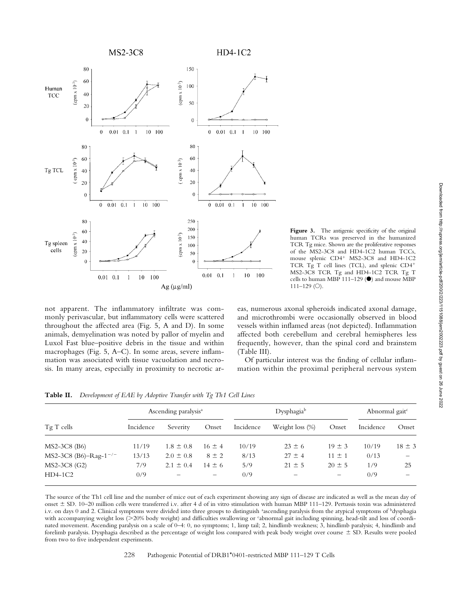

Figure 3. The antigenic specificity of the original human TCRs was preserved in the humanized TCR Tg mice. Shown are the proliferative responses of the MS2-3C8 and HD4-1C2 human TCCs, mouse splenic CD4<sup>+</sup> MS2-3C8 and HD4-1C2 TCR Tg T cell lines (TCL), and splenic CD4- MS2-3C8 TCR Tg and HD4-1C2 TCR Tg T cells to human MBP 111-129  $(\bullet)$  and mouse MBP  $111-129$  (O).

not apparent. The inflammatory infiltrate was commonly perivascular, but inflammatory cells were scattered throughout the affected area (Fig. 5, A and D). In some animals, demyelination was noted by pallor of myelin and Luxol Fast blue–positive debris in the tissue and within macrophages (Fig. 5, A–C). In some areas, severe inflammation was associated with tissue vacuolation and necrosis. In many areas, especially in proximity to necrotic areas, numerous axonal spheroids indicated axonal damage, and microthrombi were occasionally observed in blood vessels within inflamed areas (not depicted). Inflammation affected both cerebellum and cerebral hemispheres less frequently, however, than the spinal cord and brainstem (Table III).

Of particular interest was the finding of cellular inflammation within the proximal peripheral nervous system

| Table II. Development of EAE by Adoptive Transfer with Tg Th1 Cell Lines |  |
|--------------------------------------------------------------------------|--|
|                                                                          |  |

|                                   |           | Ascending paralysis <sup>a</sup> |            |           | Dysphagiab               | Abnormal gait <sup>c</sup> |           |            |
|-----------------------------------|-----------|----------------------------------|------------|-----------|--------------------------|----------------------------|-----------|------------|
| $TgT$ cells                       | Incidence | Severity                         | Onset      | Incidence | Weight loss $(\%)$       | Onset                      | Incidence | Onset      |
| $MS2-3C8$ (B6)                    | 11/19     | $1.8 \pm 0.8$                    | $16 \pm 4$ | 10/19     | $23 \pm 6$               | $19 \pm 3$                 | 10/19     | $18 \pm 3$ |
| MS2-3C8 (B6)-Rag-1 <sup>-/-</sup> | 13/13     | $2.0 \pm 0.8$                    | $8 \pm 2$  | 8/13      | $27 \pm 4$               | $11 \pm 1$                 | 0/13      |            |
| MS2-3C8 (G2)                      | 7/9       | $2.1 \pm 0.4$                    | $14 \pm 6$ | 5/9       | $21 \pm 5$               | $20 \pm 5$                 | 1/9       | 25         |
| $HD4-1C2$                         | 0/9       |                                  | -          | 0/9       | $\overline{\phantom{0}}$ |                            | 0/9       |            |

The source of the Th1 cell line and the number of mice out of each experiment showing any sign of disease are indicated as well as the mean day of onset SD. 10–20 million cells were transferred i.v. after 4 d of in vitro stimulation with human MBP 111–129. Pertussis toxin was administered i.v. on days 0 and 2. Clinical symptoms were divided into three groups to distinguish ªascending paralysis from the atypical symptoms of ʰdysphagia with accompanying weight loss (>20% body weight) and difficulties swallowing or 'abnormal gait including spinning, head-tilt and loss of coordinated movement. Ascending paralysis on a scale of 0–4: 0, no symptoms; 1, limp tail; 2, hindlimb weakness; 3, hindlimb paralysis; 4, hindlimb and forelimb paralysis. Dysphagia described as the percentage of weight loss compared with peak body weight over course  $\pm$  SD. Results were pooled from two to five independent experiments.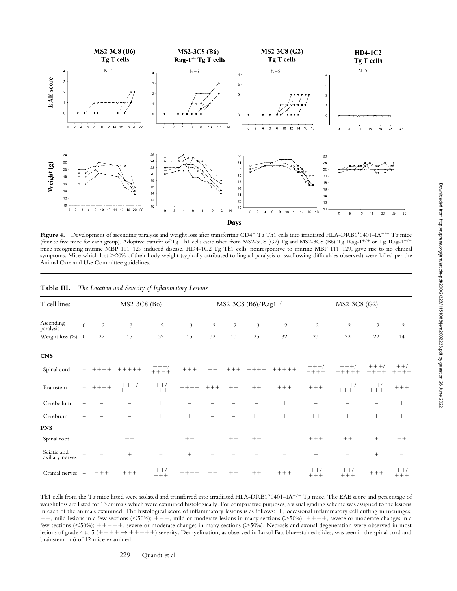

Figure 4. Development of ascending paralysis and weight loss after transferring CD4<sup>+</sup> Tg Th1 cells into irradiated HLA-DRB1\*0401–IA<sup>-/-</sup> Tg mice (four to five mice for each group). Adoptive transfer of Tg Th1 cells established from MS2-3C8 (G2) Tg and MS2-3C8 (B6) Tg-Rag-1<sup>+/+</sup> or Tg-Rag-1<sup>-/-</sup> mice recognizing murine MBP 111–129 induced disease. HD4-1C2 Tg Th1 cells, nonresponsive to murine MBP 111–129, gave rise to no clinical symptoms. Mice which lost 20% of their body weight (typically attributed to lingual paralysis or swallowing difficulties observed) were killed per the Animal Care and Use Committee guidelines.

| T cell lines                   |                | MS2-3C8 (B6) |                    |                          |         |                | MS2-3C8 (B6)/Rag1 <sup>-/-</sup> |        |                |                          | MS2-3C8 (G2)             |                    |                  |  |
|--------------------------------|----------------|--------------|--------------------|--------------------------|---------|----------------|----------------------------------|--------|----------------|--------------------------|--------------------------|--------------------|------------------|--|
| Ascending<br>paralysis         | $\overline{0}$ | 2            | 3                  | $\overline{c}$           | 3       | $\overline{c}$ | $\overline{2}$                   | 3      | $\overline{2}$ | 2                        | $\overline{2}$           | $\overline{2}$     | $\overline{c}$   |  |
| Weight loss (%)                | $\overline{0}$ | 22           | 17                 | 32                       | 15      | 32             | 10                               | 25     | 32             | 23                       | 22                       | 22                 | 14               |  |
| <b>CNS</b>                     |                |              |                    |                          |         |                |                                  |        |                |                          |                          |                    |                  |  |
| Spinal cord                    |                | $+++++$      | $+++++$            | $+++/-$<br>$+++++$       | $++++$  | $++$           | $+++$                            | $++++$ | $+ + + + +$    | $+++/-$<br>$+++++$       | $+++/-$<br>$+++++$       | $+++/-$<br>$+++++$ | $++/$<br>$+++++$ |  |
| Brainstem                      | $\sim$         | $+++++$      | $+++/-$<br>$+++++$ | $++/$<br>$+++$           | $++++$  | $+ + +$        | $++$                             | $++$   | $++++$         | $++++$                   | $+++/-$<br>$+++++$       | $++/$<br>$+++$     | $++++$           |  |
| Cerebellum                     |                |              |                    | $+$                      |         |                |                                  |        | $^{+}$         | $\overline{\phantom{m}}$ |                          |                    | $^{+}$           |  |
| Cerebrum                       |                |              |                    | $^{+}$                   | $^{+}$  |                |                                  | $++$   | $+$            | $++$                     | $^{+}$                   | $^{+}$             | $^{+}$           |  |
| <b>PNS</b>                     |                |              |                    |                          |         |                |                                  |        |                |                          |                          |                    |                  |  |
| Spinal root                    |                |              | $++$               | $\overline{\phantom{0}}$ | $++$    |                | $++$                             | $++$   |                | $++++$                   | $++$                     | $^{+}$             | $++$             |  |
| Sciatic and<br>axillary nerves |                |              | $^{+}$             |                          | $^{+}$  |                |                                  |        |                | $+$                      | $\overline{\phantom{0}}$ | $^{+}$             |                  |  |
| Cranial nerves -               |                | $++++$       | $++++$             | $++/$<br>$+++$           | $+++++$ | $++$           | $++$                             | $++$   | $++++$         | $++/$<br>$+++$           | $++/$<br>$++++$          | $++++$             | $++/$<br>$+++$   |  |

**Table III.** *The Location and Severity of Inflammatory Lesions*

Th1 cells from the Tg mice listed were isolated and transferred into irradiated HLA-DRB1\*0401–IA<sup>-/-</sup> Tg mice. The EAE score and percentage of weight loss are listed for 13 animals which were examined histologically. For comparative purposes, a visual grading scheme was assigned to the lesions in each of the animals examined. The histological score of inflammatory lesions is as follows: +, occasional inflammatory cell cuffing in meninges; ++, mild lesions in a few sections (<50%); +++, mild or moderate lesions in many sections (>50%); ++++, severe or moderate changes in a few sections (<50%); +++++, severe or moderate changes in many sections (>50%). Necrosis and axonal degeneration were observed in most lesions of grade 4 to 5  $(+++ \rightarrow ++++)$  severity. Demyelination, as observed in Luxol Fast blue–stained slides, was seen in the spinal cord and brainstem in 6 of 12 mice examined.

229 Quandt et al.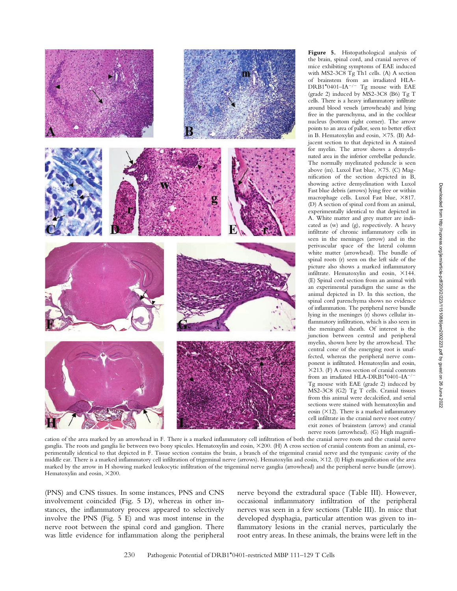

**Figure 5.** Histopathological analysis of the brain, spinal cord, and cranial nerves of mice exhibiting symptoms of EAE induced with MS2-3C8 Tg Th1 cells. (A) A section of brainstem from an irradiated HLA- $DRB1*0401-IA^{-/-}$  Tg mouse with EAE (grade 2) induced by MS2-3C8 (B6) Tg T cells. There is a heavy inflammatory infiltrate around blood vessels (arrowheads) and lying free in the parenchyma, and in the cochlear nucleus (bottom right corner). The arrow points to an area of pallor, seen to better effect in B. Hematoxylin and eosin,  $\times$ 75. (B) Adjacent section to that depicted in A stained for myelin. The arrow shows a demyelinated area in the inferior cerebellar peduncle. The normally myelinated peduncle is seen above (m). Luxol Fast blue,  $\times 75$ . (C) Magnification of the section depicted in B, showing active demyelination with Luxol Fast blue debris (arrows) lying free or within macrophage cells. Luxol Fast blue, ×817. (D) A section of spinal cord from an animal, experimentally identical to that depicted in A. White matter and grey matter are indicated as (w) and (g), respectively. A heavy infiltrate of chronic inflammatory cells in seen in the meninges (arrow) and in the perivascular space of the lateral column white matter (arrowhead). The bundle of spinal roots (r) seen on the left side of the picture also shows a marked inflammatory infiltrate. Hematoxylin and eosin,  $\times$ 144. (E) Spinal cord section from an animal with an experimental paradigm the same as the animal depicted in D. In this section, the spinal cord parenchyma shows no evidence of inflammation. The peripheral nerve bundle lying in the meninges (r) shows cellular inflammatory infiltration, which is also seen in the meningeal sheath. Of interest is the junction between central and peripheral myelin, shown here by the arrowhead. The central cone of the emerging root is unaffected, whereas the peripheral nerve component is infiltrated. Hematoxylin and eosin, 213. (F) A cross section of cranial contents from an irradiated HLA-DRB1\*0401-IA<sup>-/</sup> Tg mouse with EAE (grade 2) induced by MS2-3C8 (G2) Tg T cells. Cranial tissues from this animal were decalcified, and serial sections were stained with hematoxylin and eosin  $(\times 12)$ . There is a marked inflammatory cell infiltrate in the cranial nerve root entry/ exit zones of brainstem (arrow) and cranial nerve roots (arrowhead). (G) High magnifi-

cation of the area marked by an arrowhead in F. There is a marked inflammatory cell infiltration of both the cranial nerve roots and the cranial nerve ganglia. The roots and ganglia lie between two bony spicules. Hematoxylin and eosin,  $\times$ 200. (H) A cross section of cranial contents from an animal, experimentally identical to that depicted in F. Tissue section contains the brain, a branch of the trigeminal cranial nerve and the tympanic cavity of the middle ear. There is a marked inflammatory cell infiltration of trigeminal nerve (arrows). Hematoxylin and eosin, 12. (I) High magnification of the area marked by the arrow in H showing marked leukocytic infiltration of the trigeminal nerve ganglia (arrowhead) and the peripheral nerve bundle (arrow). Hematoxylin and eosin,  $\times 200$ .

(PNS) and CNS tissues. In some instances, PNS and CNS involvement coincided (Fig. 5 D), whereas in other instances, the inflammatory process appeared to selectively involve the PNS (Fig. 5 E) and was most intense in the nerve root between the spinal cord and ganglion. There was little evidence for inflammation along the peripheral nerve beyond the extradural space (Table III). However, occasional inflammatory infiltration of the peripheral nerves was seen in a few sections (Table III). In mice that developed dysphagia, particular attention was given to inflammatory lesions in the cranial nerves, particularly the root entry areas. In these animals, the brains were left in the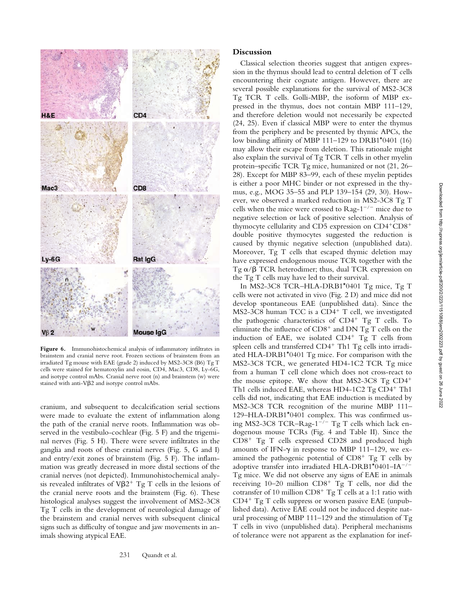

**Figure 6.** Immunohistochemical analysis of inflammatory infiltrates in brainstem and cranial nerve root. Frozen sections of brainstem from an irradiated Tg mouse with EAE (grade 2) induced by MS2-3C8 (B6) Tg T cells were stained for hematoxylin and eosin, CD4, Mac3, CD8, Ly-6G, and isotype control mAbs. Cranial nerve root (n) and brainstem (w) were stained with anti- $V\beta$ 2 and isotype control mAbs.

cranium, and subsequent to decalcification serial sections were made to evaluate the extent of inflammation along the path of the cranial nerve roots. Inflammation was observed in the vestibulo-cochlear (Fig. 5 F) and the trigeminal nerves (Fig. 5 H). There were severe infiltrates in the ganglia and roots of these cranial nerves (Fig. 5, G and I) and entry/exit zones of brainstem (Fig. 5 F). The inflammation was greatly decreased in more distal sections of the cranial nerves (not depicted). Immunohistochemical analysis revealed infiltrates of  $V\beta2^+$  Tg T cells in the lesions of the cranial nerve roots and the brainstem (Fig. 6). These histological analyses suggest the involvement of MS2-3C8 Tg T cells in the development of neurological damage of the brainstem and cranial nerves with subsequent clinical signs such as difficulty of tongue and jaw movements in animals showing atypical EAE.

**Discussion**

Classical selection theories suggest that antigen expression in the thymus should lead to central deletion of T cells encountering their cognate antigen. However, there are several possible explanations for the survival of MS2-3C8 Tg TCR T cells. Golli-MBP, the isoform of MBP expressed in the thymus, does not contain MBP 111–129, and therefore deletion would not necessarily be expected (24, 25). Even if classical MBP were to enter the thymus from the periphery and be presented by thymic APCs, the low binding affinity of MBP 111–129 to DRB1\*0401 (16) may allow their escape from deletion. This rationale might also explain the survival of Tg TCR T cells in other myelin protein–specific TCR Tg mice, humanized or not (21, 26– 28). Except for MBP 83–99, each of these myelin peptides is either a poor MHC binder or not expressed in the thymus, e.g., MOG 35–55 and PLP 139–154 (29, 30). However, we observed a marked reduction in MS2-3C8 Tg T cells when the mice were crossed to  $\text{Rag-1}^{-/-}$  mice due to negative selection or lack of positive selection. Analysis of thymocyte cellularity and CD5 expression on CD4+CD8+ double positive thymocytes suggested the reduction is caused by thymic negative selection (unpublished data). Moreover, Tg T cells that escaped thymic deletion may have expressed endogenous mouse TCR together with the Tg  $\alpha/\beta$  TCR heterodimer; thus, dual TCR expression on the Tg T cells may have led to their survival.

In MS2-3C8 TCR–HLA-DRB1\*0401 Tg mice, Tg T cells were not activated in vivo (Fig. 2 D) and mice did not develop spontaneous EAE (unpublished data). Since the MS2-3C8 human TCC is a CD4<sup>+</sup> T cell, we investigated the pathogenic characteristics of CD4<sup>+</sup> Tg T cells. To eliminate the influence of  $CD8^+$  and DN Tg T cells on the induction of EAE, we isolated  $CD4^+$  Tg T cells from spleen cells and transferred CD4<sup>+</sup> Th1 Tg cells into irradiated HLA-DRB1\*0401 Tg mice. For comparison with the MS2-3C8 TCR, we generated HD4-1C2 TCR Tg mice from a human T cell clone which does not cross-react to the mouse epitope. We show that MS2-3C8 Tg CD4- Th1 cells induced EAE, whereas HD4-1C2 Tg CD4<sup>+</sup> Th1 cells did not, indicating that EAE induction is mediated by MS2-3C8 TCR recognition of the murine MBP 111– 129–HLA-DRB1\*0401 complex. This was confirmed using MS2-3C8 TCR-Rag- $1^{-/-}$  Tg T cells which lack endogenous mouse TCRs (Fig. 4 and Table II). Since the CD8- Tg T cells expressed CD28 and produced high amounts of IFN- $\gamma$  in response to MBP 111-129, we examined the pathogenic potential of  $CD8^+$  Tg T cells by adoptive transfer into irradiated HLA-DRB1\*0401-IA<sup>-/-</sup> Tg mice. We did not observe any signs of EAE in animals receiving 10-20 million CD8<sup>+</sup> Tg T cells, nor did the cotransfer of 10 million  $CD8^+$  Tg T cells at a 1:1 ratio with CD4<sup>+</sup> Tg T cells suppress or worsen passive EAE (unpublished data). Active EAE could not be induced despite natural processing of MBP 111–129 and the stimulation of Tg T cells in vivo (unpublished data). Peripheral mechanisms of tolerance were not apparent as the explanation for inef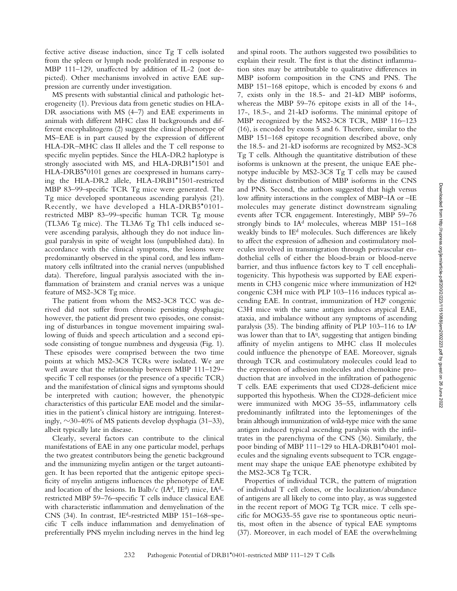fective active disease induction, since Tg T cells isolated from the spleen or lymph node proliferated in response to MBP 111–129, unaffected by addition of IL-2 (not depicted). Other mechanisms involved in active EAE suppression are currently under investigation.

MS presents with substantial clinical and pathologic heterogeneity (1). Previous data from genetic studies on HLA-DR associations with MS (4–7) and EAE experiments in animals with different MHC class II backgrounds and different encephalitogens (2) suggest the clinical phenotype of MS–EAE is in part caused by the expression of different HLA-DR–MHC class II alleles and the T cell response to specific myelin peptides. Since the HLA-DR2 haplotype is strongly associated with MS, and HLA-DRB1\*1501 and HLA-DRB5\*0101 genes are coexpressed in humans carrying the HLA-DR2 allele, HLA-DRB1\*1501-restricted MBP 83–99–specific TCR Tg mice were generated. The Tg mice developed spontaneous ascending paralysis (21). Recently, we have developed a HLA-DRB5\*0101 restricted MBP 83–99–specific human TCR Tg mouse (TL3A6 Tg mice). The TL3A6 Tg Th1 cells induced severe ascending paralysis, although they do not induce lingual paralysis in spite of weight loss (unpublished data). In accordance with the clinical symptoms, the lesions were predominantly observed in the spinal cord, and less inflammatory cells infiltrated into the cranial nerves (unpublished data). Therefore, lingual paralysis associated with the inflammation of brainstem and cranial nerves was a unique feature of MS2-3C8 Tg mice.

The patient from whom the MS2-3C8 TCC was derived did not suffer from chronic persisting dysphagia; however, the patient did present two episodes, one consisting of disturbances in tongue movement impairing swallowing of fluids and speech articulation and a second episode consisting of tongue numbness and dysgeusia (Fig. 1). These episodes were comprised between the two time points at which MS2-3C8 TCRs were isolated. We are well aware that the relationship between MBP 111–129– specific T cell responses (or the presence of a specific TCR) and the manifestation of clinical signs and symptoms should be interpreted with caution; however, the phenotypic characteristics of this particular EAE model and the similarities in the patient's clinical history are intriguing. Interestingly,  $\sim$ 30-40% of MS patients develop dysphagia (31–33), albeit typically late in disease.

Clearly, several factors can contribute to the clinical manifestations of EAE in any one particular model, perhaps the two greatest contributors being the genetic background and the immunizing myelin antigen or the target autoantigen. It has been reported that the antigenic epitope specificity of myelin antigens influences the phenotype of EAE and location of the lesions. In Balb/c  $(IA<sup>d</sup>, IB<sup>d</sup>)$  mice,  $IA<sup>d</sup>$ restricted MBP 59–76–specific T cells induce classical EAE with characteristic inflammation and demyelination of the CNS (34). In contrast, IEd-restricted MBP 151–168–specific T cells induce inflammation and demyelination of preferentially PNS myelin including nerves in the hind leg

and spinal roots. The authors suggested two possibilities to explain their result. The first is that the distinct inflammation sites may be attributable to qualitative differences in MBP isoform composition in the CNS and PNS. The MBP 151–168 epitope, which is encoded by exons 6 and 7, exists only in the 18.5- and 21-kD MBP isoforms, whereas the MBP 59–76 epitope exists in all of the 14-, 17-, 18.5-, and 21-kD isoforms. The minimal epitope of MBP recognized by the MS2-3C8 TCR, MBP 116–123 (16), is encoded by exons 5 and 6. Therefore, similar to the MBP 151–168 epitope recognition described above, only the 18.5- and 21-kD isoforms are recognized by MS2-3C8 Tg T cells. Although the quantitative distribution of these isoforms is unknown at the present, the unique EAE phenotype inducible by MS2-3C8 Tg T cells may be caused by the distinct distribution of MBP isoforms in the CNS and PNS. Second, the authors suggested that high versus low affinity interactions in the complex of MBP–IA or –IE molecules may generate distinct downstream signaling events after TCR engagement. Interestingly, MBP 59–76 strongly binds to IA<sup>d</sup> molecules, whereas MBP 151-168 weakly binds to IE<sup>d</sup> molecules. Such differences are likely to affect the expression of adhesion and costimulatory molecules involved in transmigration through perivascular endothelial cells of either the blood-brain or blood-nerve barrier, and thus influence factors key to T cell encephalitogenicity. This hypothesis was supported by EAE experiments in CH3 congenic mice where immunization of H2<sup>q</sup> congenic C3H mice with PLP 103–116 induces typical ascending EAE. In contrast, immunization of H2p congenic C3H mice with the same antigen induces atypical EAE, ataxia, and imbalance without any symptoms of ascending paralysis (35). The binding affinity of PLP 103–116 to IAp was lower than that to  $IA<sup>q</sup>$ , suggesting that antigen binding affinity of myelin antigens to MHC class II molecules could influence the phenotype of EAE. Moreover, signals through TCR and costimulatory molecules could lead to the expression of adhesion molecules and chemokine production that are involved in the infiltration of pathogenic T cells. EAE experiments that used CD28-deficient mice supported this hypothesis. When the CD28-deficient mice were immunized with MOG 35–55, inflammatory cells predominantly infiltrated into the leptomeninges of the brain although immunization of wild-type mice with the same antigen induced typical ascending paralysis with the infiltrates in the parenchyma of the CNS (36). Similarly, the poor binding of MBP 111–129 to HLA-DRB1\*0401 molecules and the signaling events subsequent to TCR engagement may shape the unique EAE phenotype exhibited by the MS2-3C8 Tg TCR.

Properties of individual TCR, the pattern of migration of individual T cell clones, or the localization/abundance of antigens are all likely to come into play, as was suggested in the recent report of MOG Tg TCR mice. T cells specific for MOG35-55 gave rise to spontaneous optic neuritis, most often in the absence of typical EAE symptoms (37). Moreover, in each model of EAE the overwhelming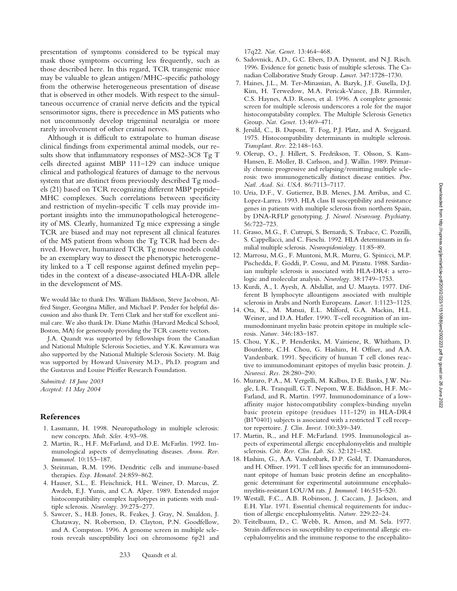presentation of symptoms considered to be typical may mask those symptoms occurring less frequently, such as those described here. In this regard, TCR transgenic mice may be valuable to glean antigen/MHC-specific pathology from the otherwise heterogeneous presentation of disease that is observed in other models. With respect to the simultaneous occurrence of cranial nerve deficits and the typical sensorimotor signs, there is precedence in MS patients who not uncommonly develop trigeminal neuralgia or more rarely involvement of other cranial nerves.

Although it is difficult to extrapolate to human disease clinical findings from experimental animal models, our results show that inflammatory responses of MS2-3C8 Tg T cells directed against MBP 111–129 can induce unique clinical and pathological features of damage to the nervous system that are distinct from previously described Tg models (21) based on TCR recognizing different MBP peptide– MHC complexes. Such correlations between specificity and restriction of myelin-specific T cells may provide important insights into the immunopathological heterogeneity of MS. Clearly, humanized Tg mice expressing a single TCR are biased and may not represent all clinical features of the MS patient from whom the Tg TCR had been derived. However, humanized TCR Tg mouse models could be an exemplary way to dissect the phenotypic heterogeneity linked to a T cell response against defined myelin peptides in the context of a disease-associated HLA-DR allele in the development of MS.

We would like to thank Drs. William Biddison, Steve Jacobson, Alfred Singer, Georgina Miller, and Michael P. Pender for helpful discussion and also thank Dr. Terri Clark and her staff for excellent animal care. We also thank Dr. Diane Mathis (Harvard Medical School, Boston, MA) for generously providing the TCR cassette vectors.

J.A. Quandt was supported by fellowships from the Canadian and National Multiple Sclerosis Societies, and Y.K. Kawamura was also supported by the National Multiple Sclerosis Society. M. Baig was supported by Howard University M.D., Ph.D. program and the Gustavus and Louise Pfeiffer Research Foundation.

*Submitted: 18 June 2003 Accepted: 11 May 2004*

### **References**

- 1. Lassmann, H. 1998. Neuropathology in multiple sclerosis: new concepts. *Mult. Scler.* 4:93–98.
- 2. Martin, R., H.F. McFarland, and D.E. McFarlin. 1992. Immunological aspects of demyelinating diseases. *Annu. Rev. Immunol.* 10:153–187.
- 3. Steinman, R.M. 1996. Dendritic cells and immune-based therapies. *Exp. Hematol.* 24:859–862.
- 4. Hauser, S.L., E. Fleischnick, H.L. Weiner, D. Marcus, Z. Awdeh, E.J. Yunis, and C.A. Alper. 1989. Extended major histocompatibility complex haplotypes in patients with multiple sclerosis. *Neurology.* 39:275–277.
- 5. Sawcer, S., H.B. Jones, R. Feakes, J. Gray, N. Smaldon, J. Chataway, N. Robertson, D. Clayton, P.N. Goodfellow, and A. Compston. 1996. A genome screen in multiple sclerosis reveals susceptibility loci on chromosome 6p21 and

17q22. *Nat. Genet.* 13:464–468.

- 6. Sadovnick, A.D., G.C. Ebers, D.A. Dyment, and N.J. Risch. 1996. Evidence for genetic basis of multiple sclerosis. The Canadian Collaborative Study Group. *Lancet.* 347:1728–1730.
- 7. Haines, J.L., M. Ter-Minassian, A. Bazyk, J.F. Gusella, D.J. Kim, H. Terwedow, M.A. Pericak-Vance, J.B. Rimmler, C.S. Haynes, A.D. Roses, et al. 1996. A complete genomic screen for multiple sclerosis underscores a role for the major histocompatability complex. The Multiple Sclerosis Genetics Group. *Nat. Genet.* 13:469–471.
- 8. Jersild, C., B. Dupont, T. Fog, P.J. Platz, and A. Svejgaard. 1975. Histocompatibility determinants in multiple sclerosis. *Transplant. Rev.* 22:148–163.
- 9. Olerup, O., J. Hillert, S. Fredrikson, T. Olsson, S. Kam-Hansen, E. Moller, B. Carlsson, and J. Wallin. 1989. Primarily chronic progressive and relapsing/remitting multiple sclerosis: two immunogenetically distinct disease entities. *Proc. Natl. Acad. Sci. USA.* 86:7113–7117.
- 10. Uria, D.F., V. Gutierrez, B.B. Menes, J.M. Arribas, and C. Lopez-Larrea. 1993. HLA class II susceptibility and resistance genes in patients with multiple sclerosis from northern Spain, by DNA-RFLP genotyping. *J. Neurol. Neurosurg. Psychiatry.* 56:722–723.
- 11. Grasso, M.G., F. Cutrupi, S. Bernardi, S. Trabace, C. Pozzilli, S. Cappellacci, and C. Fieschi. 1992. HLA determinants in familial multiple sclerosis. *Neuroepidemiology.* 11:85–89.
- 12. Marrosu, M.G., F. Muntoni, M.R. Murru, G. Spinicci, M.P. Pischedda, F. Goddi, P. Cossu, and M. Pirastu. 1988. Sardinian multiple sclerosis is associated with HLA-DR4: a serologic and molecular analysis. *Neurology.* 38:1749–1753.
- 13. Kurdi, A., I. Ayesh, A. Abdallat, and U. Maayta. 1977. Different B lymphocyte alloantigens associated with multiple sclerosis in Arabs and North Europeans. *Lancet.* 1:1123–1125.
- 14. Ota, K., M. Matsui, E.L. Milford, G.A. Mackin, H.L. Weiner, and D.A. Hafler. 1990. T-cell recognition of an immunodominant myelin basic protein epitope in multiple sclerosis. *Nature.* 346:183–187.
- 15. Chou, Y.K., P. Henderikx, M. Vainiene, R. Whitham, D. Bourdette, C.H. Chou, G. Hashim, H. Offner, and A.A. Vandenbark. 1991. Specificity of human T cell clones reactive to immunodominant epitopes of myelin basic protein. *J. Neurosci. Res.* 28:280–290.
- 16. Muraro, P.A., M. Vergelli, M. Kalbus, D.E. Banks, J.W. Nagle, L.R. Tranquill, G.T. Nepom, W.E. Biddison, H.F. Mc-Farland, and R. Martin. 1997. Immunodominance of a lowaffinity major histocompatibility complex-binding myelin basic protein epitope (residues 111-129) in HLA-DR4  $(B1*0401)$  subjects is associated with a restricted T cell receptor repertoire. *J. Clin. Invest.* 100:339–349.
- 17. Martin, R., and H.F. McFarland. 1995. Immunological aspects of experimental allergic encephalomyelitis and multiple sclerosis. *Crit. Rev. Clin. Lab. Sci.* 32:121–182.
- 18. Hashim, G., A.A. Vandenbark, D.P. Gold, T. Diamanduros, and H. Offner. 1991. T cell lines specific for an immunodominant epitope of human basic protein define an encephalitogenic determinant for experimental autoimmune encephalomyelitis-resistant LOU/M rats. *J. Immunol.* 146:515–520.
- 19. Westall, F.C., A.B. Robinson, J. Caccam, J. Jackson, and E.H. Ylar. 1971. Essential chemical requirements for induction of allergic encephalomyelitis. *Nature.* 229:22–24.
- 20. Teitelbaum, D., C. Webb, R. Arnon, and M. Sela. 1977. Strain differences in susceptibility to experimental allergic encephalomyelitis and the immune response to the encephalito-